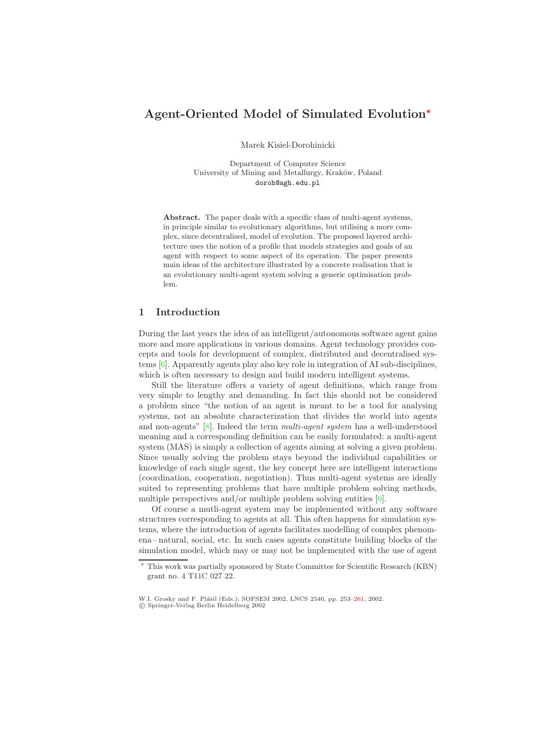# <span id="page-0-0"></span>**Agent-Oriented Model of Simulated Evolution**

Marek Kisiel-Dorohinicki

Department of Computer Science University of Mining and Metallurgy, Kraków, Poland doroh@agh.edu.pl

**Abstract.** The paper deals with a specific class of multi-agent systems, in principle similar to evolutionary algorithms, but utilising a more complex, since decentralised, model of evolution. The proposed layered architecture uses the notion of a profile that models strategies and goals of an agent with respect to some aspect of its operation. The paper presents main ideas of the architecture illustrated by a concrete realisation that is an evolutionary multi-agent system solving a generic optimisation problem.

### **1 Introduction**

During the last years the idea of an intelligent/autonomous software agent gains more and more applications in various domains. Agent technology provides concepts and tools for development of complex, distributed and decentralised systems [\[6\]](#page-8-0). Apparently agents play also key role in integration of AI sub-disciplines, which is often necessary to design and build modern intelligent systems.

Still the literature offers a variety of agent definitions, which range from very simple to lengthy and demanding. In fact this should not be considered a problem since "the notion of an agent is meant to be a tool for analysing systems, not an absolute characterization that divides the world into agents and non-agents" [\[8\]](#page-8-1). Indeed the term *multi-agent system* has a well-understood meaning and a corresponding definition can be easily formulated: a multi-agent system (MAS) is simply a collection of agents aiming at solving a given problem. Since usually solving the problem stays beyond the individual capabilities or knowledge of each single agent, the key concept here are intelligent interactions (coordination, cooperation, negotiation). Thus multi-agent systems are ideally suited to representing problems that have multiple problem solving methods, multiple perspectives and/or multiple problem solving entities [\[6\]](#page-8-0).

Of course a mutli-agent system may be implemented without any software structures corresponding to agents at all. This often happens for simulation systems, where the introduction of agents facilitates modelling of complex phenomena – natural, social, etc. In such cases agents constitute building blocks of the simulation model, which may or may not be implemented with the use of agent

This work was partially sponsored by State Committee for Scientific Research (KBN) grant no. 4 T11C 027 22.

W.I. Grosky and F. Plášil (Eds.): SOFSEM 2002, LNCS 2540, pp. 253-261, 2002.

c Springer-Verlag Berlin Heidelberg 2002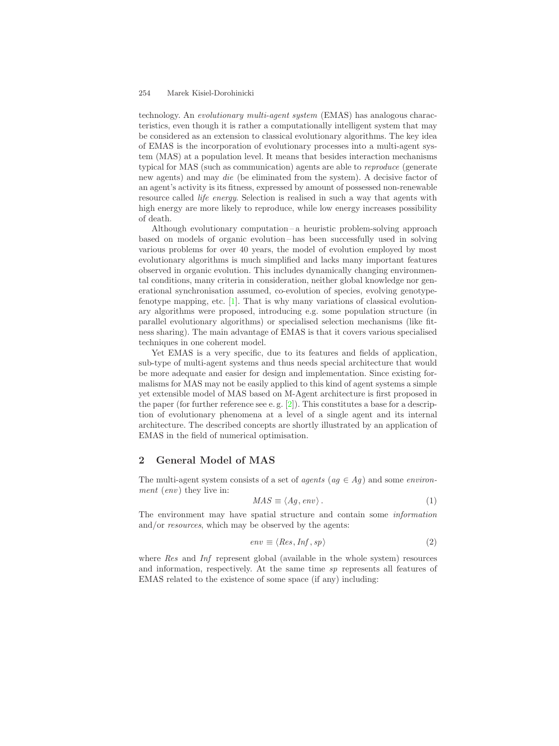<span id="page-1-0"></span>technology. An *evolutionary multi-agent system* (EMAS) has analogous characteristics, even though it is rather a computationally intelligent system that may be considered as an extension to classical evolutionary algorithms. The key idea of EMAS is the incorporation of evolutionary processes into a multi-agent system (MAS) at a population level. It means that besides interaction mechanisms typical for MAS (such as communication) agents are able to *reproduce* (generate new agents) and may *die* (be eliminated from the system). A decisive factor of an agent's activity is its fitness, expressed by amount of possessed non-renewable resource called *life energy*. Selection is realised in such a way that agents with high energy are more likely to reproduce, while low energy increases possibility of death.

Although evolutionary computation – a heuristic problem-solving approach based on models of organic evolution – has been successfully used in solving various problems for over 40 years, the model of evolution employed by most evolutionary algorithms is much simplified and lacks many important features observed in organic evolution. This includes dynamically changing environmental conditions, many criteria in consideration, neither global knowledge nor generational synchronisation assumed, co-evolution of species, evolving genotypefenotype mapping, etc. [\[1\]](#page-8-3). That is why many variations of classical evolutionary algorithms were proposed, introducing e.g. some population structure (in parallel evolutionary algorithms) or specialised selection mechanisms (like fitness sharing). The main advantage of EMAS is that it covers various specialised techniques in one coherent model.

Yet EMAS is a very specific, due to its features and fields of application, sub-type of multi-agent systems and thus needs special architecture that would be more adequate and easier for design and implementation. Since existing formalisms for MAS may not be easily applied to this kind of agent systems a simple yet extensible model of MAS based on M-Agent architecture is first proposed in the paper (for further reference see e.g.  $[2]$ ). This constitutes a base for a description of evolutionary phenomena at a level of a single agent and its internal architecture. The described concepts are shortly illustrated by an application of EMAS in the field of numerical optimisation.

### **2 General Model of MAS**

The multi-agent system consists of a set of *agents* ( $aq \in Aq$ ) and some *environment* (*env* ) they live in:

$$
MAS \equiv \langle Ag, env \rangle. \tag{1}
$$

The environment may have spatial structure and contain some *information* and/or *resources*, which may be observed by the agents:

$$
env \equiv \langle Res, Inf, sp \rangle \tag{2}
$$

where *Res* and *Inf* represent global (available in the whole system) resources and information, respectively. At the same time *sp* represents all features of EMAS related to the existence of some space (if any) including: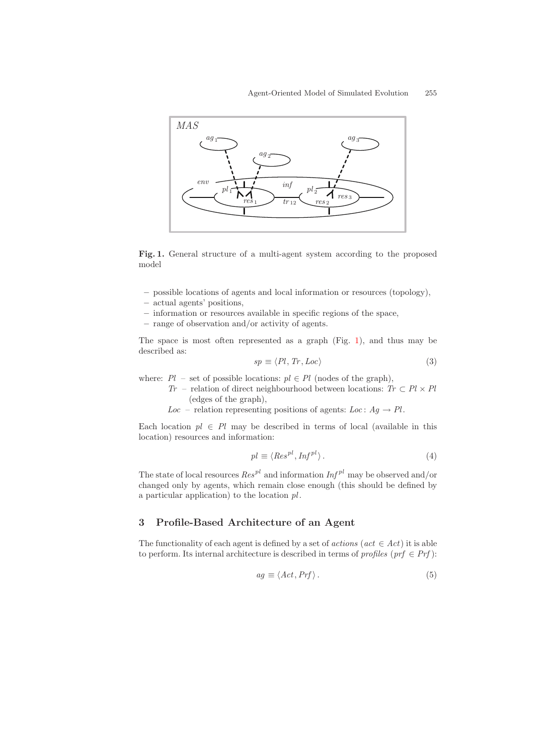

<span id="page-2-0"></span>Fig. 1. General structure of a multi-agent system according to the proposed model

- **–** possible locations of agents and local information or resources (topology),
- **–** actual agents' positions,
- **–** information or resources available in specific regions of the space,
- **–** range of observation and/or activity of agents.

The space is most often represented as a graph (Fig. [1\)](#page-2-0), and thus may be described as:

$$
sp \equiv \langle Pl, Tr, Loc \rangle \tag{3}
$$

where:  $Pl -$  set of possible locations:  $pl \in Pl$  (nodes of the graph),

- $Tr$  relation of direct neighbourhood between locations:  $Tr \subset Pl \times Pl$ (edges of the graph),
- $Loc -$  relation representing positions of agents:  $Loc : Ag \rightarrow Pl$ .

Each location  $pl \in Pl$  may be described in terms of local (available in this location) resources and information:

$$
pl \equiv \langle Res^{pl}, Inf^{pl} \rangle. \tag{4}
$$

The state of local resources  $Res^{pl}$  and information  $Inf^{pl}$  may be observed and/or changed only by agents, which remain close enough (this should be defined by a particular application) to the location *pl* .

# **3 Profile-Based Architecture of an Agent**

<span id="page-2-1"></span>The functionality of each agent is defined by a set of *actions* ( $act \in Act$ ) it is able to perform. Its internal architecture is described in terms of *profiles* ( $prf \in Prf$ ):

$$
ag \equiv \langle Act, Prf \rangle. \tag{5}
$$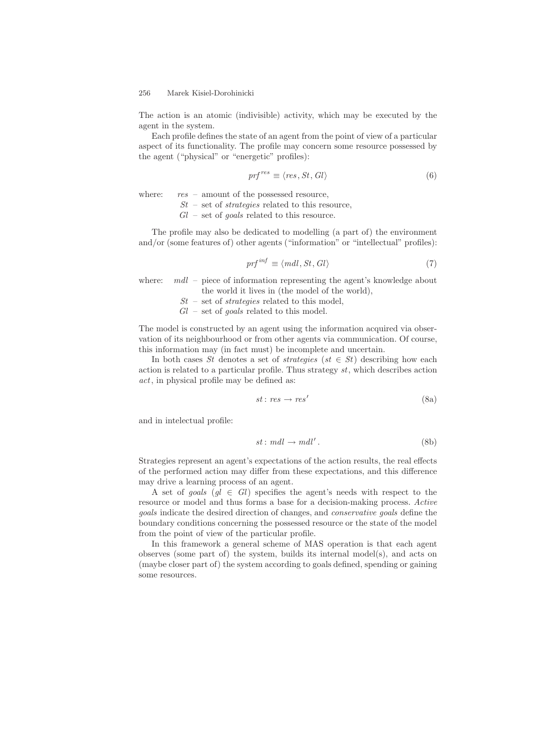The action is an atomic (indivisible) activity, which may be executed by the agent in the system.

Each profile defines the state of an agent from the point of view of a particular aspect of its functionality. The profile may concern some resource possessed by the agent ("physical" or "energetic" profiles):

$$
prf^{res} \equiv \langle res, St, Gl \rangle \tag{6}
$$

where: *res* – amount of the possessed resource,

*St* – set of *strategies* related to this resource,

*Gl* – set of *goals* related to this resource.

The profile may also be dedicated to modelling (a part of) the environment and/or (some features of) other agents ("information" or "intellectual" profiles):

$$
prf^{inf} \equiv \langle mdl, St, Gl \rangle \tag{7}
$$

where: *mdl* – piece of information representing the agent's knowledge about the world it lives in (the model of the world),

*St* – set of *strategies* related to this model,

*Gl* – set of *goals* related to this model.

The model is constructed by an agent using the information acquired via observation of its neighbourhood or from other agents via communication. Of course, this information may (in fact must) be incomplete and uncertain.

In both cases *St* denotes a set of *strategies* ( $st \in St$ ) describing how each action is related to a particular profile. Thus strategy *st*, which describes action *act*, in physical profile may be defined as:

$$
st: res \to res'
$$
 (8a)

and in intelectual profile:

$$
st: mdl \to mdl'.
$$
 (8b)

Strategies represent an agent's expectations of the action results, the real effects of the performed action may differ from these expectations, and this difference may drive a learning process of an agent.

A set of *goals*  $(gl \in Gl)$  specifies the agent's needs with respect to the resource or model and thus forms a base for a decision-making process. *Active goals* indicate the desired direction of changes, and *conservative goals* define the boundary conditions concerning the possessed resource or the state of the model from the point of view of the particular profile.

In this framework a general scheme of MAS operation is that each agent observes (some part of) the system, builds its internal model(s), and acts on (maybe closer part of) the system according to goals defined, spending or gaining some resources.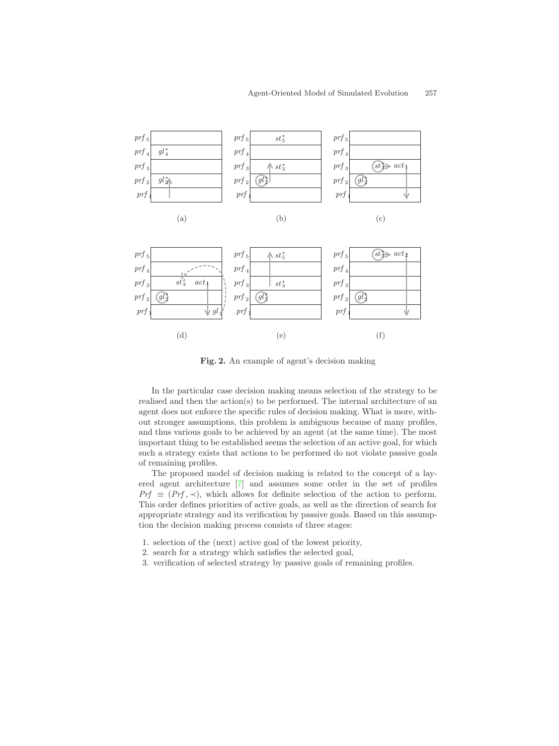<span id="page-4-1"></span>



**Fig. 2.** An example of agent's decision making

<span id="page-4-0"></span>In the particular case decision making means selection of the strategy to be realised and then the action(s) to be performed. The internal architecture of an agent does not enforce the specific rules of decision making. What is more, without stronger assumptions, this problem is ambiguous because of many profiles, and thus various goals to be achieved by an agent (at the same time). The most important thing to be established seems the selection of an active goal, for which such a strategy exists that actions to be performed do not violate passive goals of remaining profiles.

The proposed model of decision making is related to the concept of a layered agent architecture [\[7\]](#page-8-5) and assumes some order in the set of profiles  $Prf \equiv (Prf, \prec)$ , which allows for definite selection of the action to perform. This order defines priorities of active goals, as well as the direction of search for appropriate strategy and its verification by passive goals. Based on this assumption the decision making process consists of three stages:

- 1. selection of the (next) active goal of the lowest priority,
- 2. search for a strategy which satisfies the selected goal,
- 3. verification of selected strategy by passive goals of remaining profiles.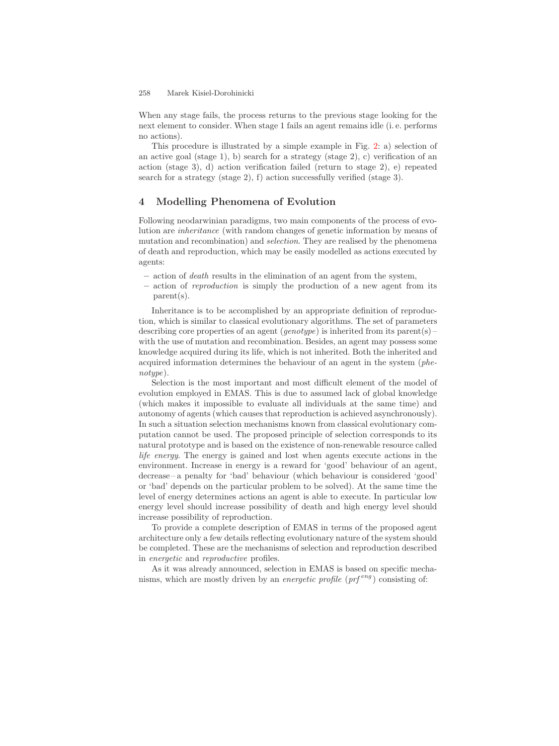When any stage fails, the process returns to the previous stage looking for the next element to consider. When stage 1 fails an agent remains idle (i. e. performs no actions).

This procedure is illustrated by a simple example in Fig. [2:](#page-4-0) a) selection of an active goal (stage 1), b) search for a strategy (stage 2), c) verification of an action (stage 3), d) action verification failed (return to stage 2), e) repeated search for a strategy (stage 2), f) action successfully verified (stage 3).

## **4 Modelling Phenomena of Evolution**

Following neodarwinian paradigms, two main components of the process of evolution are *inheritance* (with random changes of genetic information by means of mutation and recombination) and *selection*. They are realised by the phenomena of death and reproduction, which may be easily modelled as actions executed by agents:

- **–** action of *death* results in the elimination of an agent from the system,
- **–** action of *reproduction* is simply the production of a new agent from its parent(s).

Inheritance is to be accomplished by an appropriate definition of reproduction, which is similar to classical evolutionary algorithms. The set of parameters describing core properties of an agent (*genotype*) is inherited from its parent(s) – with the use of mutation and recombination. Besides, an agent may possess some knowledge acquired during its life, which is not inherited. Both the inherited and acquired information determines the behaviour of an agent in the system (*phenotype*).

Selection is the most important and most difficult element of the model of evolution employed in EMAS. This is due to assumed lack of global knowledge (which makes it impossible to evaluate all individuals at the same time) and autonomy of agents (which causes that reproduction is achieved asynchronously). In such a situation selection mechanisms known from classical evolutionary computation cannot be used. The proposed principle of selection corresponds to its natural prototype and is based on the existence of non-renewable resource called *life energy*. The energy is gained and lost when agents execute actions in the environment. Increase in energy is a reward for 'good' behaviour of an agent, decrease – a penalty for 'bad' behaviour (which behaviour is considered 'good' or 'bad' depends on the particular problem to be solved). At the same time the level of energy determines actions an agent is able to execute. In particular low energy level should increase possibility of death and high energy level should increase possibility of reproduction.

To provide a complete description of EMAS in terms of the proposed agent architecture only a few details reflecting evolutionary nature of the system should be completed. These are the mechanisms of selection and reproduction described in *energetic* and *reproductive* profiles.

As it was already announced, selection in EMAS is based on specific mechanisms, which are mostly driven by an *energetic profile* (*prf eng* ) consisting of: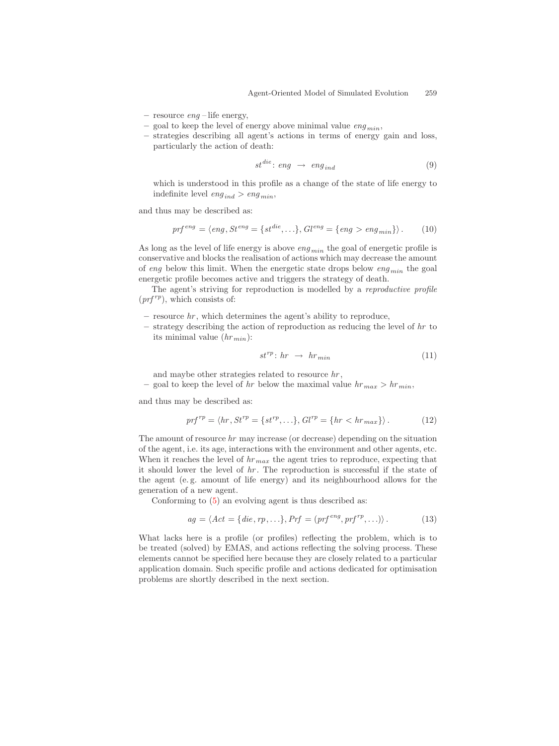- **–** resource *eng* life energy,
- goal to keep the level of energy above minimal value  $eng_{min}$ ,
- **–** strategies describing all agent's actions in terms of energy gain and loss, particularly the action of death:

$$
st^{die}: eng \rightarrow eng_{ind} \tag{9}
$$

which is understood in this profile as a change of the state of life energy to indefinite level  $eng_{ind} > eng_{min}$ ,

and thus may be described as:

$$
prf^{eng} = \langle eng, St^{eng} = \{st^{die}, \ldots\}, Gl^{eng} = \{eng > eng_{min}\} \rangle.
$$
 (10)

As long as the level of life energy is above  $eng_{min}$  the goal of energetic profile is conservative and blocks the realisation of actions which may decrease the amount of *eng* below this limit. When the energetic state drops below  $eng_{min}$  the goal energetic profile becomes active and triggers the strategy of death.

The agent's striving for reproduction is modelled by a *reproductive profile*  $(prf^{rp})$ , which consists of:

- **–** resource *hr* , which determines the agent's ability to reproduce,
- **–** strategy describing the action of reproduction as reducing the level of *hr* to its minimal value (*hr min*):

$$
st^{rp} \colon hr \to hr_{min} \tag{11}
$$

and maybe other strategies related to resource *hr* ,

**–** goal to keep the level of *hr* below the maximal value *hr max <sup>&</sup>gt; hr min*,

and thus may be described as:

$$
prf^{rp} = \langle hr, St^{rp} = \{st^{rp}, \ldots\}, Gl^{rp} = \{hr < hr_{max}\} \rangle. \tag{12}
$$

The amount of resource *hr* may increase (or decrease) depending on the situation of the agent, i.e. its age, interactions with the environment and other agents, etc. When it reaches the level of  $hr_{max}$  the agent tries to reproduce, expecting that it should lower the level of *hr*. The reproduction is successful if the state of the agent (e. g. amount of life energy) and its neighbourhood allows for the generation of a new agent.

Conforming to [\(5\)](#page-2-1) an evolving agent is thus described as:

<span id="page-6-0"></span>
$$
ag = \langle Act = \{ die, rp, \ldots \}, Prf = (prf^{eng}, prf^{rp}, \ldots) \rangle.
$$
 (13)

What lacks here is a profile (or profiles) reflecting the problem, which is to be treated (solved) by EMAS, and actions reflecting the solving process. These elements cannot be specified here because they are closely related to a particular application domain. Such specific profile and actions dedicated for optimisation problems are shortly described in the next section.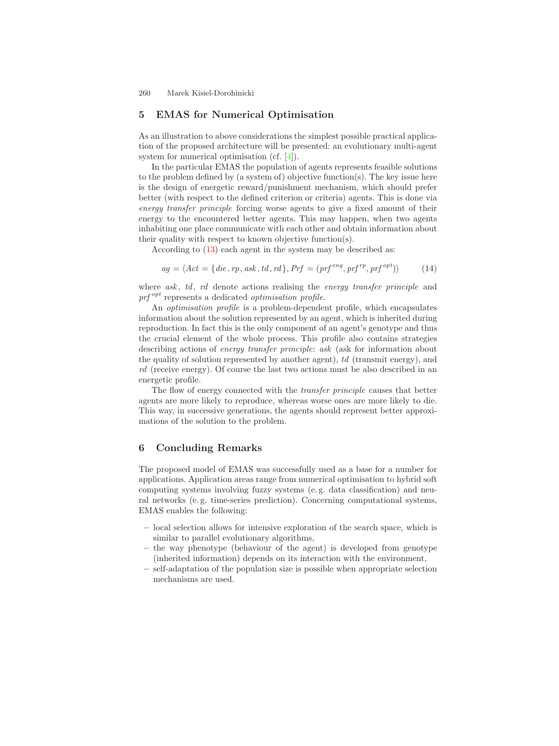# <span id="page-7-0"></span>**5 EMAS for Numerical Optimisation**

As an illustration to above considerations the simplest possible practical application of the proposed architecture will be presented: an evolutionary multi-agent system for numerical optimisation (cf. [\[4\]](#page-8-6)).

In the particular EMAS the population of agents represents feasible solutions to the problem defined by (a system of) objective function(s). The key issue here is the design of energetic reward/punishment mechanism, which should prefer better (with respect to the defined criterion or criteria) agents. This is done via *energy transfer principle* forcing worse agents to give a fixed amount of their energy to the encountered better agents. This may happen, when two agents inhabiting one place communicate with each other and obtain information about their quality with respect to known objective function(s).

According to [\(13\)](#page-6-0) each agent in the system may be described as:

$$
ag = \langle Act = \{ die, rp, ask, td, rd\}, Prf = (prf^{eng}, prf^{rp}, prf^{opt}) \rangle \tag{14}
$$

where *ask*, *td*, *rd* denote actions realising the *energy transfer principle* and *prf opt* represents a dedicated *optimisation profile*.

An *optimisation profile* is a problem-dependent profile, which encapsulates information about the solution represented by an agent, which is inherited during reproduction. In fact this is the only component of an agent's genotype and thus the crucial element of the whole process. This profile also contains strategies describing actions of *energy transfer principle*: *ask* (ask for information about the quality of solution represented by another agent), *td* (transmit energy), and *rd* (receive energy). Of course the last two actions must be also described in an energetic profile.

The flow of energy connected with the *transfer principle* causes that better agents are more likely to reproduce, whereas worse ones are more likely to die. This way, in successive generations, the agents should represent better approximations of the solution to the problem.

# **6 Concluding Remarks**

The proposed model of EMAS was successfully used as a base for a number for applications. Application areas range from numerical optimisation to hybrid soft computing systems involving fuzzy systems (e. g. data classification) and neural networks (e. g. time-series prediction). Concerning computational systems, EMAS enables the following:

- **–** local selection allows for intensive exploration of the search space, which is similar to parallel evolutionary algorithms,
- **–** the way phenotype (behaviour of the agent) is developed from genotype (inherited information) depends on its interaction with the environment,
- **–** self-adaptation of the population size is possible when appropriate selection mechanisms are used.